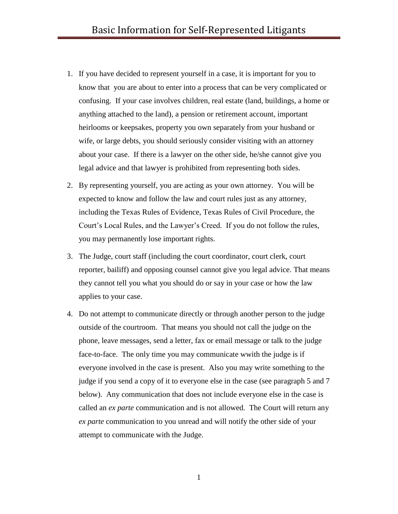- 1. If you have decided to represent yourself in a case, it is important for you to know that you are about to enter into a process that can be very complicated or confusing. If your case involves children, real estate (land, buildings, a home or anything attached to the land), a pension or retirement account, important heirlooms or keepsakes, property you own separately from your husband or wife, or large debts, you should seriously consider visiting with an attorney about your case. If there is a lawyer on the other side, he/she cannot give you legal advice and that lawyer is prohibited from representing both sides.
- 2. By representing yourself, you are acting as your own attorney. You will be expected to know and follow the law and court rules just as any attorney, including the Texas Rules of Evidence, Texas Rules of Civil Procedure, the Court's Local Rules, and the Lawyer's Creed. If you do not follow the rules, you may permanently lose important rights.
- 3. The Judge, court staff (including the court coordinator, court clerk, court reporter, bailiff) and opposing counsel cannot give you legal advice. That means they cannot tell you what you should do or say in your case or how the law applies to your case.
- 4. Do not attempt to communicate directly or through another person to the judge outside of the courtroom. That means you should not call the judge on the phone, leave messages, send a letter, fax or email message or talk to the judge face-to-face. The only time you may communicate wwith the judge is if everyone involved in the case is present. Also you may write something to the judge if you send a copy of it to everyone else in the case (see paragraph 5 and 7 below). Any communication that does not include everyone else in the case is called an *ex parte* communication and is not allowed. The Court will return any *ex parte* communication to you unread and will notify the other side of your attempt to communicate with the Judge.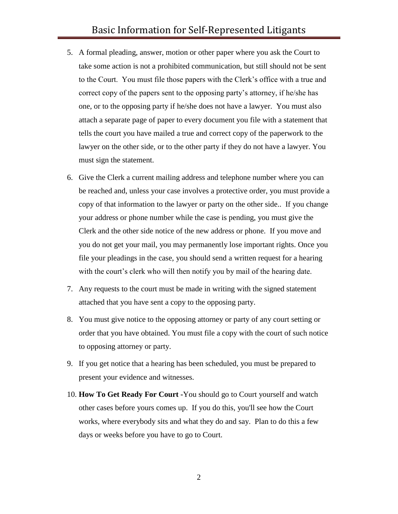## Basic Information for Self-Represented Litigants

- 5. A formal pleading, answer, motion or other paper where you ask the Court to take some action is not a prohibited communication, but still should not be sent to the Court. You must file those papers with the Clerk's office with a true and correct copy of the papers sent to the opposing party's attorney, if he/she has one, or to the opposing party if he/she does not have a lawyer. You must also attach a separate page of paper to every document you file with a statement that tells the court you have mailed a true and correct copy of the paperwork to the lawyer on the other side, or to the other party if they do not have a lawyer. You must sign the statement.
- 6. Give the Clerk a current mailing address and telephone number where you can be reached and, unless your case involves a protective order, you must provide a copy of that information to the lawyer or party on the other side.. If you change your address or phone number while the case is pending, you must give the Clerk and the other side notice of the new address or phone. If you move and you do not get your mail, you may permanently lose important rights. Once you file your pleadings in the case, you should send a written request for a hearing with the court's clerk who will then notify you by mail of the hearing date.
- 7. Any requests to the court must be made in writing with the signed statement attached that you have sent a copy to the opposing party.
- 8. You must give notice to the opposing attorney or party of any court setting or order that you have obtained. You must file a copy with the court of such notice to opposing attorney or party.
- 9. If you get notice that a hearing has been scheduled, you must be prepared to present your evidence and witnesses.
- 10. **How To Get Ready For Court -**You should go to Court yourself and watch other cases before yours comes up. If you do this, you'll see how the Court works, where everybody sits and what they do and say. Plan to do this a few days or weeks before you have to go to Court.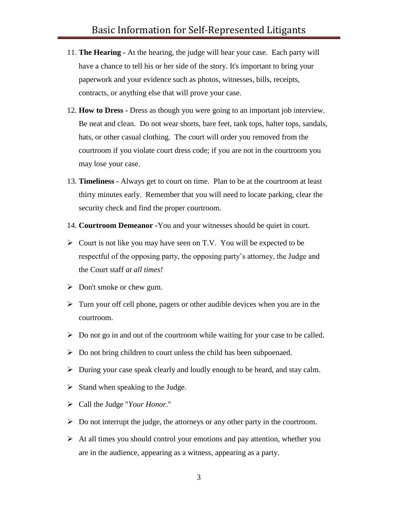- 11. **The Hearing -** At the hearing, the judge will hear your case. Each party will have a chance to tell his or her side of the story. It's important to bring your paperwork and your evidence such as photos, witnesses, bills, receipts, contracts, or anything else that will prove your case.
- 12. **How to Dress -** Dress as though you were going to an important job interview. Be neat and clean. Do not wear shorts, bare feet, tank tops, halter tops, sandals, hats, or other casual clothing. The court will order you removed from the courtroom if you violate court dress code; if you are not in the courtroom you may lose your case.
- 13. **Timeliness -** Always get to court on time. Plan to be at the courtroom at least thirty minutes early. Remember that you will need to locate parking, clear the security check and find the proper courtroom.
- 14. **Courtroom Demeanor -**You and your witnesses should be quiet in court.
- $\triangleright$  Court is not like you may have seen on T.V. You will be expected to be respectful of the opposing party, the opposing party's attorney, the Judge and the Court staff *at all times!*
- $\triangleright$  Don't smoke or chew gum.
- $\triangleright$  Turn your off cell phone, pagers or other audible devices when you are in the courtroom.
- $\triangleright$  Do not go in and out of the courtroom while waiting for your case to be called.
- $\triangleright$  Do not bring children to court unless the child has been subpoenaed.
- During your case speak clearly and loudly enough to be heard, and stay calm.
- $\triangleright$  Stand when speaking to the Judge.
- Call the Judge "*Your Honor*."
- $\triangleright$  Do not interrupt the judge, the attorneys or any other party in the courtroom.
- $\triangleright$  At all times you should control your emotions and pay attention, whether you are in the audience, appearing as a witness, appearing as a party.